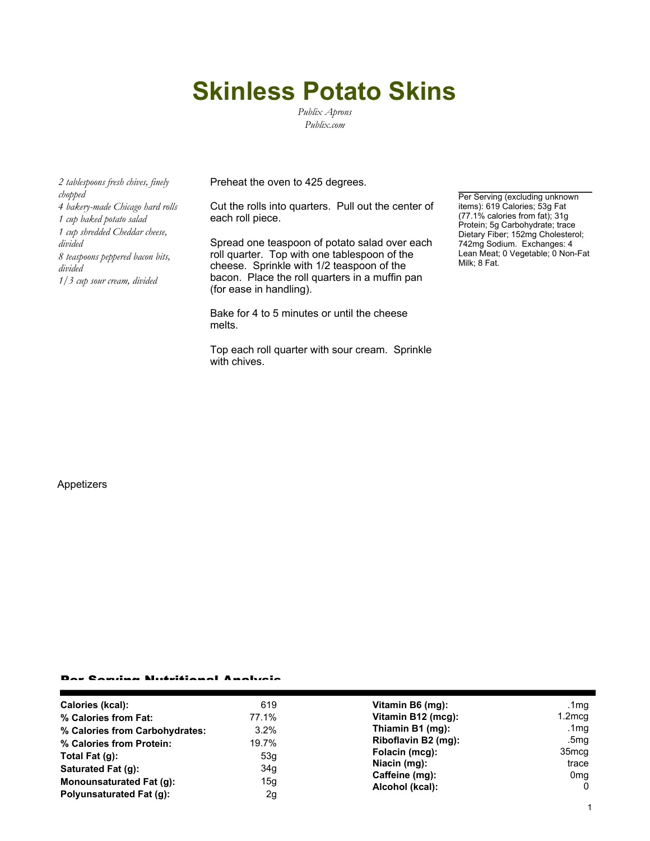## **Skinless Potato Skins**

*Publix Aprons Publix.com*

*2 tablespoons fresh chives, finely chopped 4 bakery-made Chicago hard rolls 1 cup baked potato salad 1 cup shredded Cheddar cheese, divided 8 teaspoons peppered bacon bits, divided 1/3 cup sour cream, divided*

Preheat the oven to 425 degrees.

Cut the rolls into quarters. Pull out the center of each roll piece.

Spread one teaspoon of potato salad over each roll quarter. Top with one tablespoon of the cheese. Sprinkle with 1/2 teaspoon of the bacon. Place the roll quarters in a muffin pan (for ease in handling).

Bake for 4 to 5 minutes or until the cheese melts.

Top each roll quarter with sour cream. Sprinkle with chives.

Per Serving (excluding unknown items): 619 Calories; 53g Fat (77.1% calories from fat); 31g Protein; 5g Carbohydrate; trace Dietary Fiber; 152mg Cholesterol; 742mg Sodium. Exchanges: 4 Lean Meat; 0 Vegetable; 0 Non-Fat Milk; 8 Fat.

## Appetizers

## Per Serving Nutritional Analysis

| <b>Calories (kcal):</b>        | 619   | Vitamin B6 (mg):                                                                           | .1 $mg$                         |
|--------------------------------|-------|--------------------------------------------------------------------------------------------|---------------------------------|
| % Calories from Fat:           | 77.1% | Vitamin B12 (mcg):                                                                         | $1.2 \text{mcg}$                |
| % Calories from Carbohydrates: | 3.2%  | Thiamin B1 (mg):                                                                           | .1 $mg$                         |
| % Calories from Protein:       | 19.7% | Riboflavin B2 (mg):<br>Folacin (mcg):<br>Niacin (mg):<br>Caffeine (mg):<br>Alcohol (kcal): | .5mg                            |
| Total Fat $(q)$ :              | 53g   |                                                                                            | 35 <sub>mcg</sub>               |
| Saturated Fat (g):             | 34g   |                                                                                            | trace                           |
| Monounsaturated Fat (q):       | 15g   |                                                                                            | 0 <sub>mg</sub><br>$\mathbf{0}$ |
| Polyunsaturated Fat (q):       | 2g    |                                                                                            |                                 |